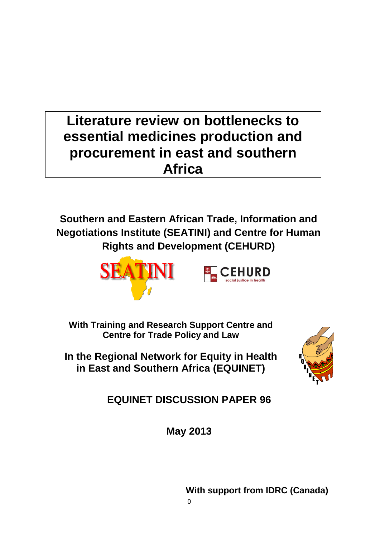# **Literature review on bottlenecks to essential medicines production and procurement in east and southern Africa**

**Southern and Eastern African Trade, Information and Negotiations Institute (SEATINI) and Centre for Human Rights and Development (CEHURD)** 



**With Training and Research Support Centre and Centre for Trade Policy and Law**

**In the Regional Network for Equity in Health in East and Southern Africa (EQUINET)**



**EQUINET DISCUSSION PAPER 96**

**May 2013**

**With support from IDRC (Canada)**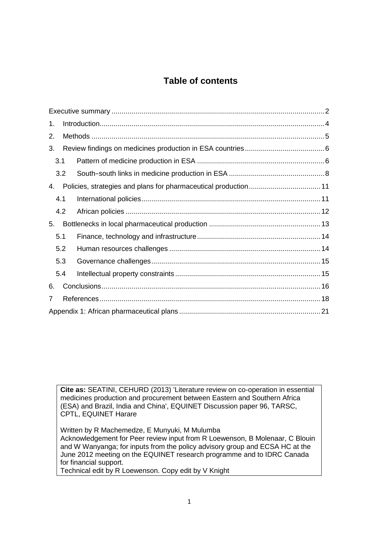### **Table of contents**

| 1.  |     |  |  |
|-----|-----|--|--|
| 2.  |     |  |  |
| 3.  |     |  |  |
| 3.1 |     |  |  |
|     | 3.2 |  |  |
| 4.  |     |  |  |
|     | 4.1 |  |  |
|     | 4.2 |  |  |
| 5.  |     |  |  |
| 5.1 |     |  |  |
|     | 5.2 |  |  |
|     | 5.3 |  |  |
|     | 5.4 |  |  |
| 6.  |     |  |  |
| 7   |     |  |  |
|     |     |  |  |

**Cite as:** SEATINI, CEHURD (2013) 'Literature review on co-operation in essential medicines production and procurement between Eastern and Southern Africa (ESA) and Brazil, India and China', EQUINET Discussion paper 96, TARSC, CPTL, EQUINET Harare

Written by R Machemedze, E Munyuki, M Mulumba Acknowledgement for Peer review input from R Loewenson, B Molenaar, C Blouin and W Wanyanga; for inputs from the policy advisory group and ECSA HC at the June 2012 meeting on the EQUINET research programme and to IDRC Canada for financial support.

Technical edit by R Loewenson. Copy edit by V Knight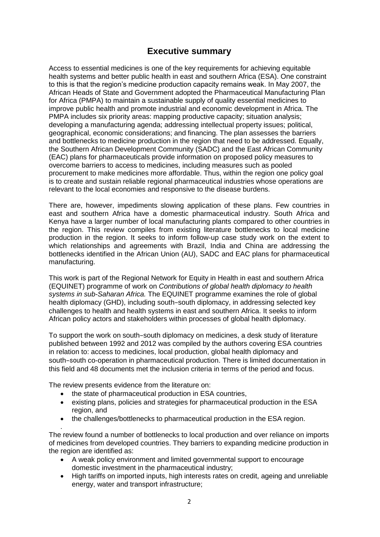### **Executive summary**

<span id="page-2-0"></span>Access to essential medicines is one of the key requirements for achieving equitable health systems and better public health in east and southern Africa (ESA). One constraint to this is that the region's medicine production capacity remains weak. In May 2007, the African Heads of State and Government adopted the Pharmaceutical Manufacturing Plan for Africa (PMPA) to maintain a sustainable supply of quality essential medicines to improve public health and promote industrial and economic development in Africa. The PMPA includes six priority areas: mapping productive capacity; situation analysis; developing a manufacturing agenda; addressing intellectual property issues; political, geographical, economic considerations; and financing. The plan assesses the barriers and bottlenecks to medicine production in the region that need to be addressed. Equally, the Southern African Development Community (SADC) and the East African Community (EAC) plans for pharmaceuticals provide information on proposed policy measures to overcome barriers to access to medicines, including measures such as pooled procurement to make medicines more affordable. Thus, within the region one policy goal is to create and sustain reliable regional pharmaceutical industries whose operations are relevant to the local economies and responsive to the disease burdens.

There are, however, impediments slowing application of these plans. Few countries in east and southern Africa have a domestic pharmaceutical industry. South Africa and Kenya have a larger number of local manufacturing plants compared to other countries in the region. This review compiles from existing literature bottlenecks to local medicine production in the region. It seeks to inform follow-up case study work on the extent to which relationships and agreements with Brazil, India and China are addressing the bottlenecks identified in the African Union (AU), SADC and EAC plans for pharmaceutical manufacturing.

This work is part of the Regional Network for Equity in Health in east and southern Africa (EQUINET) programme of work on *Contributions of global health diplomacy to health systems in sub-Saharan Africa.* The EQUINET programme examines the role of global health diplomacy (GHD), including south−south diplomacy, in addressing selected key challenges to health and health systems in east and southern Africa. It seeks to inform African policy actors and stakeholders within processes of global health diplomacy.

To support the work on south−south diplomacy on medicines, a desk study of literature published between 1992 and 2012 was compiled by the authors covering ESA countries in relation to: access to medicines, local production, global health diplomacy and south−south co-operation in pharmaceutical production. There is limited documentation in this field and 48 documents met the inclusion criteria in terms of the period and focus.

The review presents evidence from the literature on:

- the state of pharmaceutical production in ESA countries,
- existing plans, policies and strategies for pharmaceutical production in the ESA region, and
- the challenges/bottlenecks to pharmaceutical production in the ESA region.

. The review found a number of bottlenecks to local production and over reliance on imports of medicines from developed countries. They barriers to expanding medicine production in the region are identified as:

- A weak policy environment and limited governmental support to encourage domestic investment in the pharmaceutical industry;
- High tariffs on imported inputs, high interests rates on credit, ageing and unreliable energy, water and transport infrastructure;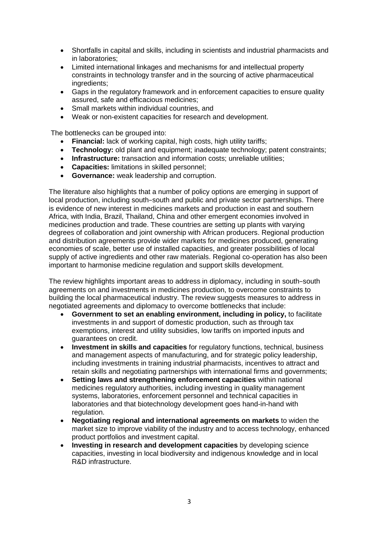- Shortfalls in capital and skills, including in scientists and industrial pharmacists and in laboratories;
- Limited international linkages and mechanisms for and intellectual property constraints in technology transfer and in the sourcing of active pharmaceutical ingredients;
- Gaps in the regulatory framework and in enforcement capacities to ensure quality assured, safe and efficacious medicines;
- Small markets within individual countries, and
- Weak or non-existent capacities for research and development.

The bottlenecks can be grouped into:

- **Financial:** lack of working capital, high costs, high utility tariffs;
- **Technology:** old plant and equipment; inadequate technology; patent constraints;
- **Infrastructure:** transaction and information costs; unreliable utilities;
- **Capacities:** limitations in skilled personnel;
- **Governance:** weak leadership and corruption.

The literature also highlights that a number of policy options are emerging in support of local production, including south−south and public and private sector partnerships. There is evidence of new interest in medicines markets and production in east and southern Africa, with India, Brazil, Thailand, China and other emergent economies involved in medicines production and trade. These countries are setting up plants with varying degrees of collaboration and joint ownership with African producers. Regional production and distribution agreements provide wider markets for medicines produced, generating economies of scale, better use of installed capacities, and greater possibilities of local supply of active ingredients and other raw materials. Regional co-operation has also been important to harmonise medicine regulation and support skills development.

The review highlights important areas to address in diplomacy, including in south−south agreements on and investments in medicines production, to overcome constraints to building the local pharmaceutical industry. The review suggests measures to address in negotiated agreements and diplomacy to overcome bottlenecks that include:

- **Government to set an enabling environment, including in policy,** to facilitate investments in and support of domestic production, such as through tax exemptions, interest and utility subsidies, low tariffs on imported inputs and guarantees on credit.
- **Investment in skills and capacities** for regulatory functions, technical, business and management aspects of manufacturing, and for strategic policy leadership, including investments in training industrial pharmacists, incentives to attract and retain skills and negotiating partnerships with international firms and governments;
- **Setting laws and strengthening enforcement capacities** within national medicines regulatory authorities, including investing in quality management systems, laboratories, enforcement personnel and technical capacities in laboratories and that biotechnology development goes hand-in-hand with regulation.
- **Negotiating regional and international agreements on markets** to widen the market size to improve viability of the industry and to access technology, enhanced product portfolios and investment capital.
- **Investing in research and development capacities** by developing science capacities, investing in local biodiversity and indigenous knowledge and in local R&D infrastructure.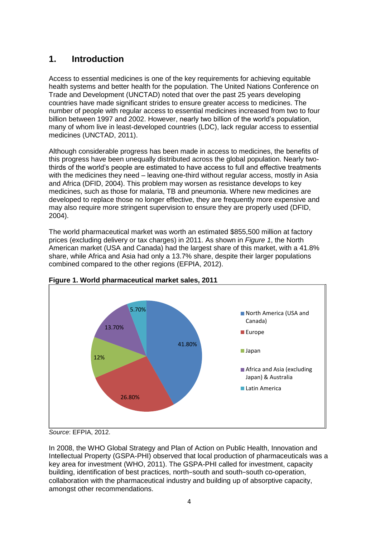### <span id="page-4-0"></span>**1. Introduction**

Access to essential medicines is one of the key requirements for achieving equitable health systems and better health for the population. The United Nations Conference on Trade and Development (UNCTAD) noted that over the past 25 years developing countries have made significant strides to ensure greater access to medicines. The number of people with regular access to essential medicines increased from two to four billion between 1997 and 2002. However, nearly two billion of the world's population, many of whom live in least-developed countries (LDC), lack regular access to essential medicines (UNCTAD, 2011).

Although considerable progress has been made in access to medicines, the benefits of this progress have been unequally distributed across the global population. Nearly twothirds of the world's people are estimated to have access to full and effective treatments with the medicines they need – leaving one-third without regular access, mostly in Asia and Africa (DFID, 2004). This problem may worsen as resistance develops to key medicines, such as those for malaria, TB and pneumonia. Where new medicines are developed to replace those no longer effective, they are frequently more expensive and may also require more stringent supervision to ensure they are properly used (DFID, 2004).

The world pharmaceutical market was worth an estimated \$855,500 million at factory prices (excluding delivery or tax charges) in 2011. As shown in *Figure 1*, the North American market (USA and Canada) had the largest share of this market, with a 41.8% share, while Africa and Asia had only a 13.7% share, despite their larger populations combined compared to the other regions (EFPIA, 2012).





*Source*: EFPIA, 2012.

In 2008, the WHO Global Strategy and Plan of Action on Public Health, Innovation and Intellectual Property (GSPA-PHI) observed that local production of pharmaceuticals was a key area for investment (WHO, 2011). The GSPA-PHI called for investment, capacity building, identification of best practices, north−south and south−south co-operation, collaboration with the pharmaceutical industry and building up of absorptive capacity, amongst other recommendations.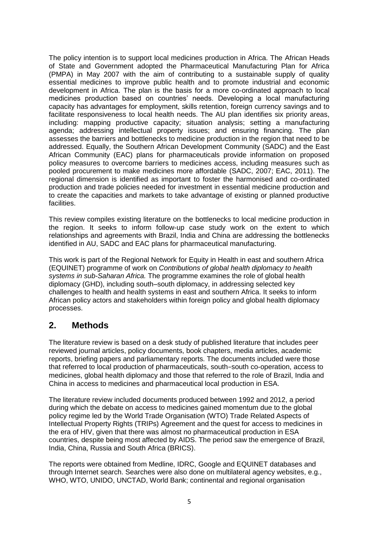The policy intention is to support local medicines production in Africa. The African Heads of State and Government adopted the Pharmaceutical Manufacturing Plan for Africa (PMPA) in May 2007 with the aim of contributing to a sustainable supply of quality essential medicines to improve public health and to promote industrial and economic development in Africa. The plan is the basis for a more co-ordinated approach to local medicines production based on countries' needs. Developing a local manufacturing capacity has advantages for employment, skills retention, foreign currency savings and to facilitate responsiveness to local health needs. The AU plan identifies six priority areas, including: mapping productive capacity; situation analysis; setting a manufacturing agenda; addressing intellectual property issues; and ensuring financing. The plan assesses the barriers and bottlenecks to medicine production in the region that need to be addressed. Equally, the Southern African Development Community (SADC) and the East African Community (EAC) plans for pharmaceuticals provide information on proposed policy measures to overcome barriers to medicines access, including measures such as pooled procurement to make medicines more affordable (SADC, 2007; EAC, 2011). The regional dimension is identified as important to foster the harmonised and co-ordinated production and trade policies needed for investment in essential medicine production and to create the capacities and markets to take advantage of existing or planned productive facilities.

This review compiles existing literature on the bottlenecks to local medicine production in the region. It seeks to inform follow-up case study work on the extent to which relationships and agreements with Brazil, India and China are addressing the bottlenecks identified in AU, SADC and EAC plans for pharmaceutical manufacturing.

This work is part of the Regional Network for Equity in Health in east and southern Africa (EQUINET) programme of work on *Contributions of global health diplomacy to health systems in sub-Saharan Africa.* The programme examines the role of global health diplomacy (GHD), including south–south diplomacy, in addressing selected key challenges to health and health systems in east and southern Africa. It seeks to inform African policy actors and stakeholders within foreign policy and global health diplomacy processes.

### <span id="page-5-0"></span>**2. Methods**

The literature review is based on a desk study of published literature that includes peer reviewed journal articles, policy documents, book chapters, media articles, academic reports, briefing papers and parliamentary reports. The documents included were those that referred to local production of pharmaceuticals, south−south co-operation, access to medicines, global health diplomacy and those that referred to the role of Brazil, India and China in access to medicines and pharmaceutical local production in ESA.

The literature review included documents produced between 1992 and 2012, a period during which the debate on access to medicines gained momentum due to the global policy regime led by the World Trade Organisation (WTO) Trade Related Aspects of Intellectual Property Rights (TRIPs) Agreement and the quest for access to medicines in the era of HIV, given that there was almost no pharmaceutical production in ESA countries, despite being most affected by AIDS. The period saw the emergence of Brazil, India, China, Russia and South Africa (BRICS).

The reports were obtained from Medline, IDRC, Google and EQUINET databases and through Internet search. Searches were also done on multilateral agency websites, e.g., WHO, WTO, UNIDO, UNCTAD, World Bank; continental and regional organisation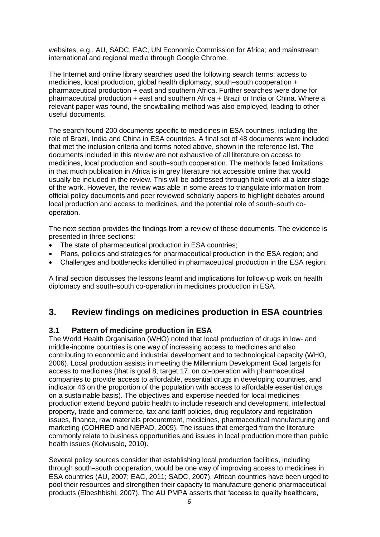websites, e.g., AU, SADC, EAC, UN Economic Commission for Africa; and mainstream international and regional media through Google Chrome.

The Internet and online library searches used the following search terms: access to medicines, local production, global health diplomacy, south–south cooperation + pharmaceutical production + east and southern Africa. Further searches were done for pharmaceutical production + east and southern Africa + Brazil or India or China. Where a relevant paper was found, the snowballing method was also employed, leading to other useful documents.

The search found 200 documents specific to medicines in ESA countries, including the role of Brazil, India and China in ESA countries. A final set of 48 documents were included that met the inclusion criteria and terms noted above, shown in the reference list. The documents included in this review are not exhaustive of all literature on access to medicines, local production and south−south cooperation. The methods faced limitations in that much publication in Africa is in grey literature not accessible online that would usually be included in the review. This will be addressed through field work at a later stage of the work. However, the review was able in some areas to triangulate information from official policy documents and peer reviewed scholarly papers to highlight debates around local production and access to medicines, and the potential role of south−south cooperation.

The next section provides the findings from a review of these documents. The evidence is presented in three sections:

- The state of pharmaceutical production in ESA countries;
- Plans, policies and strategies for pharmaceutical production in the ESA region; and
- Challenges and bottlenecks identified in pharmaceutical production in the ESA region.

A final section discusses the lessons learnt and implications for follow-up work on health diplomacy and south−south co-operation in medicines production in ESA.

### <span id="page-6-0"></span>**3. Review findings on medicines production in ESA countries**

#### <span id="page-6-1"></span>**3.1 Pattern of medicine production in ESA**

The World Health Organisation (WHO) noted that local production of drugs in low- and middle-income countries is one way of increasing access to medicines and also contributing to economic and industrial development and to technological capacity (WHO, 2006). Local production assists in meeting the Millennium Development Goal targets for access to medicines (that is goal 8, target 17, on co-operation with pharmaceutical companies to provide access to affordable, essential drugs in developing countries, and indicator 46 on the proportion of the population with access to affordable essential drugs on a sustainable basis). The objectives and expertise needed for local medicines production extend beyond public health to include research and development, intellectual property, trade and commerce, tax and tariff policies, drug regulatory and registration issues, finance, raw materials procurement, medicines, pharmaceutical manufacturing and marketing (COHRED and NEPAD, 2009). The issues that emerged from the literature commonly relate to business opportunities and issues in local production more than public health issues (Koivusalo, 2010).

Several policy sources consider that establishing local production facilities, including through south−south cooperation, would be one way of improving access to medicines in ESA countries (AU, 2007; EAC, 2011; SADC, 2007). African countries have been urged to pool their resources and strengthen their capacity to manufacture generic pharmaceutical products (Elbeshbishi, 2007). The AU PMPA asserts that "access to quality healthcare,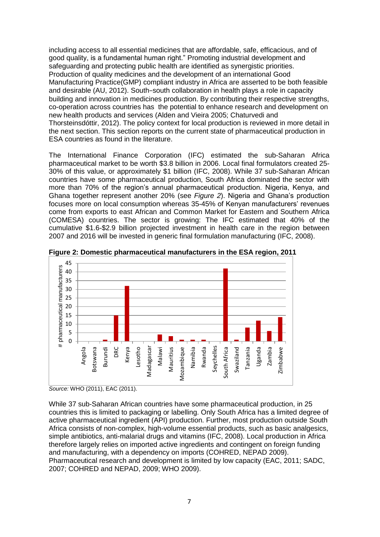including access to all essential medicines that are affordable, safe, efficacious, and of good quality, is a fundamental human right." Promoting industrial development and safeguarding and protecting public health are identified as synergistic priorities. Production of quality medicines and the development of an international Good Manufacturing Practice(GMP) compliant industry in Africa are asserted to be both feasible and desirable (AU, 2012). South−south collaboration in health plays a role in capacity building and innovation in medicines production. By contributing their respective strengths, co-operation across countries has the potential to enhance research and development on new health products and services (Alden and Vieira 2005; Chaturvedi and Thorsteinsdóttir, 2012). The policy context for local production is reviewed in more detail in the next section. This section reports on the current state of pharmaceutical production in ESA countries as found in the literature.

The International Finance Corporation (IFC) estimated the sub-Saharan Africa pharmaceutical market to be worth \$3.8 billion in 2006. Local final formulators created 25- 30% of this value, or approximately \$1 billion (IFC, 2008). While 37 sub-Saharan African countries have some pharmaceutical production, South Africa dominated the sector with more than 70% of the region's annual pharmaceutical production. Nigeria, Kenya, and Ghana together represent another 20% (see *Figure 2*). Nigeria and Ghana's production focuses more on local consumption whereas 35-45% of Kenyan manufacturers' revenues come from exports to east African and Common Market for Eastern and Southern Africa (COMESA) countries. The sector is growing: The IFC estimated that 40% of the cumulative \$1.6-\$2.9 billion projected investment in health care in the region between 2007 and 2016 will be invested in generic final formulation manufacturing (IFC, 2008).



**Figure 2: Domestic pharmaceutical manufacturers in the ESA region, 2011**

While 37 sub-Saharan African countries have some pharmaceutical production, in 25 countries this is limited to packaging or labelling. Only South Africa has a limited degree of active pharmaceutical ingredient (API) production. Further, most production outside South Africa consists of non-complex, high-volume essential products, such as basic analgesics, simple antibiotics, anti-malarial drugs and vitamins (IFC, 2008). Local production in Africa therefore largely relies on imported active ingredients and contingent on foreign funding and manufacturing, with a dependency on imports (COHRED, NEPAD 2009). Pharmaceutical research and development is limited by low capacity (EAC, 2011; SADC, 2007; COHRED and NEPAD, 2009; WHO 2009).

*Source:* WHO (2011), EAC (2011).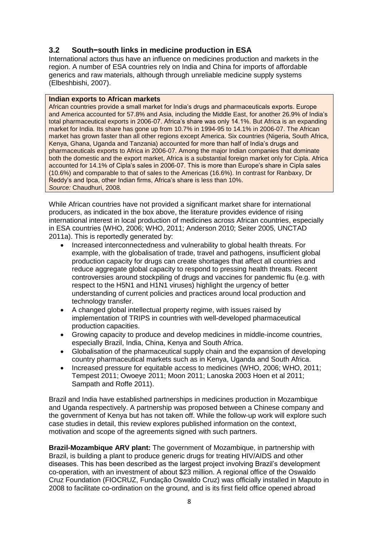#### <span id="page-8-0"></span>**3.2 South−south links in medicine production in ESA**

International actors thus have an influence on medicines production and markets in the region. A number of ESA countries rely on India and China for imports of affordable generics and raw materials, although through unreliable medicine supply systems (Elbeshbishi, 2007).

#### **Indian exports to African markets**

African countries provide a small market for India's drugs and pharmaceuticals exports. Europe and America accounted for 57.8% and Asia, including the Middle East, for another 26.9% of India's total pharmaceutical exports in 2006-07. Africa's share was only 14.1%. But Africa is an expanding market for India. Its share has gone up from 10.7% in 1994-95 to 14.1% in 2006-07. The African market has grown faster than all other regions except America. Six countries (Nigeria, South Africa, Kenya, Ghana, Uganda and Tanzania) accounted for more than half of India's drugs and pharmaceuticals exports to Africa in 2006-07. Among the major Indian companies that dominate both the domestic and the export market, Africa is a substantial foreign market only for Cipla. Africa accounted for 14.1% of Cipla's sales in 2006-07. This is more than Europe's share in Cipla sales (10.6%) and comparable to that of sales to the Americas (16.6%). In contrast for Ranbaxy, Dr Reddy's and Ipca, other Indian firms, Africa's share is less than 10%. *Source:* Chaudhuri, 2008*.*

While African countries have not provided a significant market share for international producers, as indicated in the box above, the literature provides evidence of rising international interest in local production of medicines across African countries, especially in ESA countries (WHO, 2006; WHO, 2011; Anderson 2010; Seiter 2005, UNCTAD 2011a). This is reportedly generated by:

- Increased interconnectedness and vulnerability to global health threats. For example, with the globalisation of trade, travel and pathogens, insufficient global production capacity for drugs can create shortages that affect all countries and reduce aggregate global capacity to respond to pressing health threats. Recent controversies around stockpiling of drugs and vaccines for pandemic flu (e.g. with respect to the H5N1 and H1N1 viruses) highlight the urgency of better understanding of current policies and practices around local production and technology transfer.
- A changed global intellectual property regime, with issues raised by implementation of TRIPS in countries with well-developed pharmaceutical production capacities.
- Growing capacity to produce and develop medicines in middle-income countries, especially Brazil, India, China, Kenya and South Africa.
- Globalisation of the pharmaceutical supply chain and the expansion of developing country pharmaceutical markets such as in Kenya, Uganda and South Africa.
- Increased pressure for equitable access to medicines (WHO, 2006; WHO, 2011; Tempest 2011; Owoeye 2011; Moon 2011; Lanoska 2003 Hoen et al 2011; Sampath and Roffe 2011).

Brazil and India have established partnerships in medicines production in Mozambique and Uganda respectively. A partnership was proposed between a Chinese company and the government of Kenya but has not taken off. While the follow-up work will explore such case studies in detail, this review explores published information on the context, motivation and scope of the agreements signed with such partners.

**Brazil-Mozambique ARV plant:** The government of Mozambique, in partnership with Brazil, is building a plant to produce generic drugs for treating HIV/AIDS and other diseases. This has been described as the largest project involving Brazil's development co-operation, with an investment of about \$23 million. A regional office of the Oswaldo Cruz Foundation (FIOCRUZ, Fundação Oswaldo Cruz) was officially installed in Maputo in 2008 to facilitate co-ordination on the ground, and is its first field office opened abroad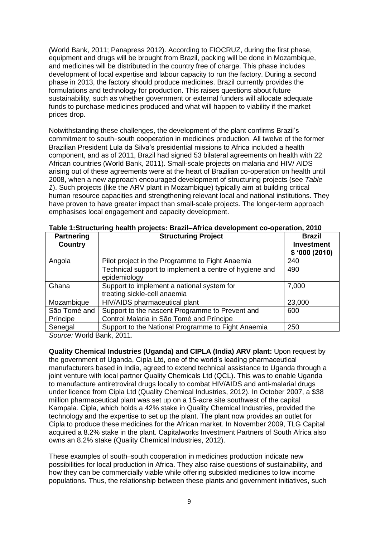(World Bank, 2011; Panapress 2012). According to FIOCRUZ, during the first phase, equipment and drugs will be brought from Brazil, packing will be done in Mozambique, and medicines will be distributed in the country free of charge. This phase includes development of local expertise and labour capacity to run the factory. During a second phase in 2013, the factory should produce medicines. Brazil currently provides the formulations and technology for production. This raises questions about future sustainability, such as whether government or external funders will allocate adequate funds to purchase medicines produced and what will happen to viability if the market prices drop.

Notwithstanding these challenges, the development of the plant confirms Brazil's commitment to south−south cooperation in medicines production. All twelve of the former Brazilian President Lula da Silva's presidential missions to Africa included a health component, and as of 2011, Brazil had signed 53 bilateral agreements on health with 22 African countries (World Bank, 2011). Small-scale projects on malaria and HIV/ AIDS arising out of these agreements were at the heart of Brazilian co-operation on health until 2008, when a new approach encouraged development of structuring projects (see *Table 1*). Such projects (like the ARV plant in Mozambique) typically aim at building critical human resource capacities and strengthening relevant local and national institutions. They have proven to have greater impact than small-scale projects. The longer-term approach emphasises local engagement and capacity development.

| $1800$ . On actually neutri-projects. Brazil Amod actorphiem oc operation, zo it |                                                                        |                                    |  |
|----------------------------------------------------------------------------------|------------------------------------------------------------------------|------------------------------------|--|
| <b>Partnering</b><br><b>Country</b>                                              | <b>Structuring Project</b>                                             | <b>Brazil</b><br><b>Investment</b> |  |
|                                                                                  |                                                                        | \$'000(2010)                       |  |
| Angola                                                                           | Pilot project in the Programme to Fight Anaemia                        | 240                                |  |
|                                                                                  | Technical support to implement a centre of hygiene and<br>epidemiology | 490                                |  |
|                                                                                  |                                                                        |                                    |  |
| Ghana                                                                            | Support to implement a national system for                             | 7,000                              |  |
|                                                                                  | treating sickle-cell anaemia                                           |                                    |  |
| Mozambique                                                                       | HIV/AIDS pharmaceutical plant                                          | 23,000                             |  |
| São Tomé and                                                                     | Support to the nascent Programme to Prevent and                        | 600                                |  |
| Príncipe                                                                         | Control Malaria in São Tomé and Príncipe                               |                                    |  |
| Senegal                                                                          | Support to the National Programme to Fight Anaemia                     | 250                                |  |

*Source:* World Bank, 2011.

**Quality Chemical Industries (Uganda) and CIPLA (India) ARV plant:** Upon request by the government of Uganda, Cipla Ltd, one of the world's leading pharmaceutical manufacturers based in India, agreed to extend technical assistance to Uganda through a joint venture with local partner Quality Chemicals Ltd (QCL). This was to enable Uganda to manufacture antiretroviral drugs locally to combat HIV/AIDS and anti-malarial drugs under licence from Cipla Ltd (Quality Chemical Industries, 2012). In October 2007, a \$38 million pharmaceutical plant was set up on a 15-acre site southwest of the capital Kampala. Cipla, which holds a 42% stake in Quality Chemical Industries, provided the technology and the expertise to set up the plant. The plant now provides an outlet for Cipla to produce these medicines for the African market. In November 2009, TLG Capital acquired a 8.2% stake in the plant. Capitalworks Investment Partners of South Africa also owns an 8.2% stake (Quality Chemical Industries, 2012).

These examples of south–south cooperation in medicines production indicate new possibilities for local production in Africa. They also raise questions of sustainability, and how they can be commercially viable while offering subsided medicines to low income populations. Thus, the relationship between these plants and government initiatives, such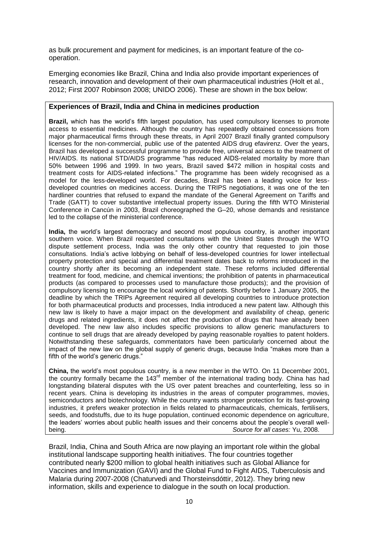as bulk procurement and payment for medicines, is an important feature of the cooperation.

Emerging economies like Brazil, China and India also provide important experiences of research, innovation and development of their own pharmaceutical industries (Holt et al., 2012; First 2007 Robinson 2008; UNIDO 2006). These are shown in the box below:

#### **Experiences of Brazil, India and China in medicines production**

**Brazil,** which has the world's fifth largest population, has used compulsory licenses to promote access to essential medicines. Although the country has repeatedly obtained concessions from major pharmaceutical firms through these threats, in April 2007 Brazil finally granted compulsory licenses for the non-commercial, public use of the patented AIDS drug efavirenz. Over the years, Brazil has developed a successful programme to provide free, universal access to the treatment of HIV/AIDS. Its national STD/AIDS programme "has reduced AIDS-related mortality by more than 50% between 1996 and 1999. In two years, Brazil saved \$472 million in hospital costs and treatment costs for AIDS-related infections." The programme has been widely recognised as a model for the less-developed world. For decades, Brazil has been a leading voice for lessdeveloped countries on medicines access. During the TRIPS negotiations, it was one of the ten hardliner countries that refused to expand the mandate of the General Agreement on Tariffs and Trade (GATT) to cover substantive intellectual property issues. During the fifth WTO Ministerial Conference in Cancún in 2003, Brazil choreographed the G–20, whose demands and resistance led to the collapse of the ministerial conference.

**India,** the world's largest democracy and second most populous country, is another important southern voice. When Brazil requested consultations with the United States through the WTO dispute settlement process, India was the only other country that requested to join those consultations. India's active lobbying on behalf of less-developed countries for lower intellectual property protection and special and differential treatment dates back to reforms introduced in the country shortly after its becoming an independent state. These reforms included differential treatment for food, medicine, and chemical inventions; the prohibition of patents in pharmaceutical products (as compared to processes used to manufacture those products); and the provision of compulsory licensing to encourage the local working of patents. Shortly before 1 January 2005, the deadline by which the TRIPs Agreement required all developing countries to introduce protection for both pharmaceutical products and processes, India introduced a new patent law. Although this new law is likely to have a major impact on the development and availability of cheap, generic drugs and related ingredients, it does not affect the production of drugs that have already been developed. The new law also includes specific provisions to allow generic manufacturers to continue to sell drugs that are already developed by paying reasonable royalties to patent holders. Notwithstanding these safeguards, commentators have been particularly concerned about the impact of the new law on the global supply of generic drugs, because India "makes more than a fifth of the world's generic drugs."

**China,** the world's most populous country, is a new member in the WTO. On 11 December 2001, the country formally became the  $143<sup>rd</sup>$  member of the international trading body. China has had longstanding bilateral disputes with the US over patent breaches and counterfeiting, less so in recent years. China is developing its industries in the areas of computer programmes, movies, semiconductors and biotechnology. While the country wants stronger protection for its fast-growing industries, it prefers weaker protection in fields related to pharmaceuticals, chemicals, fertilisers, seeds, and foodstuffs, due to its huge population, continued economic dependence on agriculture, the leaders' worries about public health issues and their concerns about the people's overall wellbeing. *Source for all cases:* Yu, 2008.

Brazil, India, China and South Africa are now playing an important role within the global institutional landscape supporting health initiatives. The four countries together contributed nearly \$200 million to global health initiatives such as Global Alliance for Vaccines and Immunization (GAVI) and the Global Fund to Fight AIDS, Tuberculosis and Malaria during 2007-2008 (Chaturvedi and Thorsteinsdóttir, 2012). They bring new information, skills and experience to dialogue in the south on local production.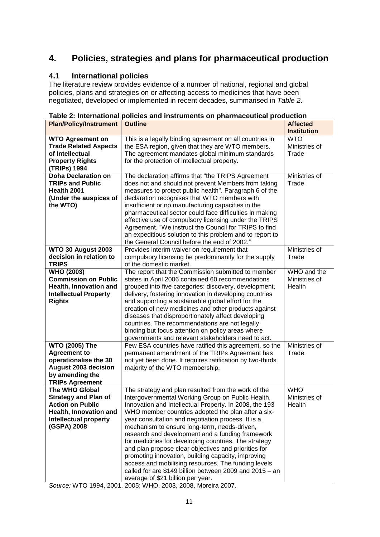### <span id="page-11-0"></span>**4. Policies, strategies and plans for pharmaceutical production**

#### <span id="page-11-1"></span>**4.1 International policies**

The literature review provides evidence of a number of national, regional and global policies, plans and strategies on or affecting access to medicines that have been negotiated, developed or implemented in recent decades, summarised in *Table 2*.

| <b>Plan/Policy/Instrument</b>                                                                                                                     | <b>Outline</b>                                                                                                                                                                                                                                                                                                                                                                                                                                                                                                                                                                                                                                                                                                  | <b>Affected</b><br><b>Institution</b>  |
|---------------------------------------------------------------------------------------------------------------------------------------------------|-----------------------------------------------------------------------------------------------------------------------------------------------------------------------------------------------------------------------------------------------------------------------------------------------------------------------------------------------------------------------------------------------------------------------------------------------------------------------------------------------------------------------------------------------------------------------------------------------------------------------------------------------------------------------------------------------------------------|----------------------------------------|
| <b>WTO Agreement on</b><br><b>Trade Related Aspects</b><br>of Intellectual<br><b>Property Rights</b><br>(TRIPs) 1994                              | This is a legally binding agreement on all countries in<br>the ESA region, given that they are WTO members.<br>The agreement mandates global minimum standards<br>for the protection of intellectual property.                                                                                                                                                                                                                                                                                                                                                                                                                                                                                                  | <b>WTO</b><br>Ministries of<br>Trade   |
| <b>Doha Declaration on</b><br><b>TRIPs and Public</b><br>Health 2001<br>(Under the auspices of<br>the WTO)                                        | The declaration affirms that "the TRIPS Agreement<br>does not and should not prevent Members from taking<br>measures to protect public health". Paragraph 6 of the<br>declaration recognises that WTO members with<br>insufficient or no manufacturing capacities in the<br>pharmaceutical sector could face difficulties in making<br>effective use of compulsory licensing under the TRIPS<br>Agreement. "We instruct the Council for TRIPS to find<br>an expeditious solution to this problem and to report to<br>the General Council before the end of 2002."                                                                                                                                               | Ministries of<br>Trade                 |
| <b>WTO 30 August 2003</b><br>decision in relation to<br><b>TRIPS</b>                                                                              | Provides interim waiver on requirement that<br>compulsory licensing be predominantly for the supply<br>of the domestic market.                                                                                                                                                                                                                                                                                                                                                                                                                                                                                                                                                                                  | Ministries of<br>Trade                 |
| <b>WHO (2003)</b><br><b>Commission on Public</b><br>Health, Innovation and<br><b>Intellectual Property</b><br><b>Rights</b>                       | The report that the Commission submitted to member<br>states in April 2006 contained 60 recommendations<br>grouped into five categories: discovery, development,<br>delivery, fostering innovation in developing countries<br>and supporting a sustainable global effort for the<br>creation of new medicines and other products against<br>diseases that disproportionately affect developing<br>countries. The recommendations are not legally<br>binding but focus attention on policy areas where<br>governments and relevant stakeholders need to act.                                                                                                                                                     | WHO and the<br>Ministries of<br>Health |
| <b>WTO (2005) The</b><br><b>Agreement to</b><br>operationalise the 30<br><b>August 2003 decision</b><br>by amending the<br><b>TRIPs Agreement</b> | Few ESA countries have ratified this agreement, so the<br>permanent amendment of the TRIPs Agreement has<br>not yet been done. It requires ratification by two-thirds<br>majority of the WTO membership.                                                                                                                                                                                                                                                                                                                                                                                                                                                                                                        | Ministries of<br>Trade                 |
| The WHO Global<br><b>Strategy and Plan of</b><br><b>Action on Public</b><br>Health, Innovation and<br><b>Intellectual property</b><br>(GSPA) 2008 | The strategy and plan resulted from the work of the<br>Intergovernmental Working Group on Public Health,<br>Innovation and Intellectual Property. In 2008, the 193<br>WHO member countries adopted the plan after a six-<br>year consultation and negotiation process. It is a<br>mechanism to ensure long-term, needs-driven,<br>research and development and a funding framework<br>for medicines for developing countries. The strategy<br>and plan propose clear objectives and priorities for<br>promoting innovation, building capacity, improving<br>access and mobilising resources. The funding levels<br>called for are \$149 billion between 2009 and 2015 - an<br>average of \$21 billion per year. | <b>WHO</b><br>Ministries of<br>Health  |

**Table 2: International policies and instruments on pharmaceutical production**

*Source:* WTO 1994, 2001, 2005; WHO, 2003, 2008, Moreira 2007.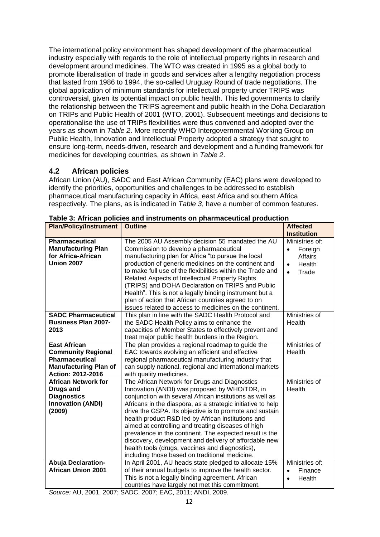The international policy environment has shaped development of the pharmaceutical industry especially with regards to the role of intellectual property rights in research and development around medicines. The WTO was created in 1995 as a global body to promote liberalisation of trade in goods and services after a lengthy negotiation process that lasted from 1986 to 1994, the so-called Uruguay Round of trade negotiations. The global application of minimum standards for intellectual property under TRIPS was controversial, given its potential impact on public health. This led governments to clarify the relationship between the TRIPS agreement and public health in the Doha Declaration on TRIPs and Public Health of 2001 (WTO, 2001). Subsequent meetings and decisions to operationalise the use of TRIPs flexibilities were thus convened and adopted over the years as shown in *Table 2*. More recently WHO Intergovernmental Working Group on Public Health, Innovation and Intellectual Property adopted a strategy that sought to ensure long-term, needs-driven, research and development and a funding framework for medicines for developing countries, as shown in *Table 2*.

#### <span id="page-12-0"></span>**4.2 African policies**

African Union (AU), SADC and East African Community (EAC) plans were developed to identify the priorities, opportunities and challenges to be addressed to establish pharmaceutical manufacturing capacity in Africa, east Africa and southern Africa respectively. The plans, as is indicated in *Table 3*, have a number of common features.

| <b>Plan/Policy/Instrument</b>                                                                                                  | <b>Outline</b>                                                                                                                                                                                                                                                                                                                                                                                                                                                                                                                                                                                                            | <b>Affected</b><br><b>Institution</b>                                                                 |
|--------------------------------------------------------------------------------------------------------------------------------|---------------------------------------------------------------------------------------------------------------------------------------------------------------------------------------------------------------------------------------------------------------------------------------------------------------------------------------------------------------------------------------------------------------------------------------------------------------------------------------------------------------------------------------------------------------------------------------------------------------------------|-------------------------------------------------------------------------------------------------------|
| Pharmaceutical<br><b>Manufacturing Plan</b><br>for Africa-African<br><b>Union 2007</b>                                         | The 2005 AU Assembly decision 55 mandated the AU<br>Commission to develop a pharmaceutical<br>manufacturing plan for Africa "to pursue the local<br>production of generic medicines on the continent and<br>to make full use of the flexibilities within the Trade and<br>Related Aspects of Intellectual Property Rights<br>(TRIPS) and DOHA Declaration on TRIPS and Public<br>Health". This is not a legally binding instrument but a<br>plan of action that African countries agreed to on<br>issues related to access to medicines on the continent.                                                                 | Ministries of:<br>Foreign<br>$\bullet$<br><b>Affairs</b><br>Health<br>$\bullet$<br>Trade<br>$\bullet$ |
| <b>SADC Pharmaceutical</b><br><b>Business Plan 2007-</b><br>2013                                                               | This plan in line with the SADC Health Protocol and<br>the SADC Health Policy aims to enhance the<br>capacities of Member States to effectively prevent and<br>treat major public health burdens in the Region.                                                                                                                                                                                                                                                                                                                                                                                                           | Ministries of<br>Health                                                                               |
| <b>East African</b><br><b>Community Regional</b><br><b>Pharmaceutical</b><br><b>Manufacturing Plan of</b><br>Action: 2012-2016 | The plan provides a regional roadmap to guide the<br>EAC towards evolving an efficient and effective<br>regional pharmaceutical manufacturing industry that<br>can supply national, regional and international markets<br>with quality medicines.                                                                                                                                                                                                                                                                                                                                                                         | Ministries of<br>Health                                                                               |
| <b>African Network for</b><br><b>Drugs and</b><br><b>Diagnostics</b><br><b>Innovation (ANDI)</b><br>(2009)                     | The African Network for Drugs and Diagnostics<br>Innovation (ANDI) was proposed by WHO/TDR, in<br>conjunction with several African institutions as well as<br>Africans in the diaspora, as a strategic initiative to help<br>drive the GSPA. Its objective is to promote and sustain<br>health product R&D led by African institutions and<br>aimed at controlling and treating diseases of high<br>prevalence in the continent. The expected result is the<br>discovery, development and delivery of affordable new<br>health tools (drugs, vaccines and diagnostics),<br>including those based on traditional medicine. | Ministries of<br>Health                                                                               |
| <b>Abuja Declaration-</b><br><b>African Union 2001</b>                                                                         | In April 2001, AU heads state pledged to allocate 15%<br>of their annual budgets to improve the health sector.<br>This is not a legally binding agreement. African<br>countries have largely not met this commitment.                                                                                                                                                                                                                                                                                                                                                                                                     | Ministries of:<br>Finance<br>$\bullet$<br>Health<br>$\bullet$                                         |

**Table 3: African policies and instruments on pharmaceutical production**

*Source:* AU, 2001, 2007; SADC, 2007; EAC, 2011; ANDI, 2009.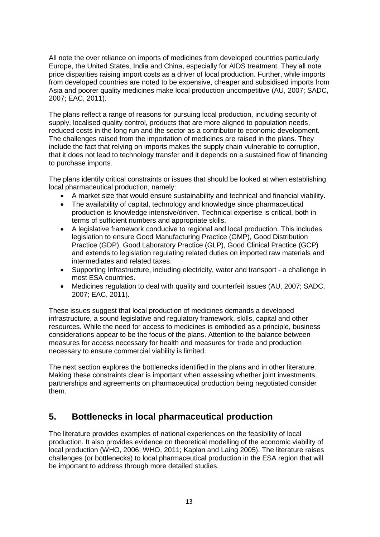All note the over reliance on imports of medicines from developed countries particularly Europe, the United States, India and China, especially for AIDS treatment. They all note price disparities raising import costs as a driver of local production. Further, while imports from developed countries are noted to be expensive, cheaper and subsidised imports from Asia and poorer quality medicines make local production uncompetitive (AU, 2007; SADC, 2007; EAC, 2011).

The plans reflect a range of reasons for pursuing local production, including security of supply, localised quality control, products that are more aligned to population needs, reduced costs in the long run and the sector as a contributor to economic development. The challenges raised from the importation of medicines are raised in the plans. They include the fact that relying on imports makes the supply chain vulnerable to corruption, that it does not lead to technology transfer and it depends on a sustained flow of financing to purchase imports.

The plans identify critical constraints or issues that should be looked at when establishing local pharmaceutical production, namely:

- A market size that would ensure sustainability and technical and financial viability.
- The availability of capital, technology and knowledge since pharmaceutical production is knowledge intensive/driven. Technical expertise is critical, both in terms of sufficient numbers and appropriate skills.
- A legislative framework conducive to regional and local production. This includes legislation to ensure Good Manufacturing Practice (GMP), Good Distribution Practice (GDP), Good Laboratory Practice (GLP), Good Clinical Practice (GCP) and extends to legislation regulating related duties on imported raw materials and intermediates and related taxes.
- Supporting Infrastructure, including electricity, water and transport a challenge in most ESA countries.
- Medicines regulation to deal with quality and counterfeit issues (AU, 2007; SADC, 2007; EAC, 2011).

These issues suggest that local production of medicines demands a developed infrastructure, a sound legislative and regulatory framework, skills, capital and other resources. While the need for access to medicines is embodied as a principle, business considerations appear to be the focus of the plans. Attention to the balance between measures for access necessary for health and measures for trade and production necessary to ensure commercial viability is limited.

The next section explores the bottlenecks identified in the plans and in other literature. Making these constraints clear is important when assessing whether joint investments, partnerships and agreements on pharmaceutical production being negotiated consider them.

### <span id="page-13-0"></span>**5. Bottlenecks in local pharmaceutical production**

The literature provides examples of national experiences on the feasibility of local production. It also provides evidence on theoretical modelling of the economic viability of local production (WHO, 2006; WHO, 2011; Kaplan and Laing 2005). The literature raises challenges (or bottlenecks) to local pharmaceutical production in the ESA region that will be important to address through more detailed studies.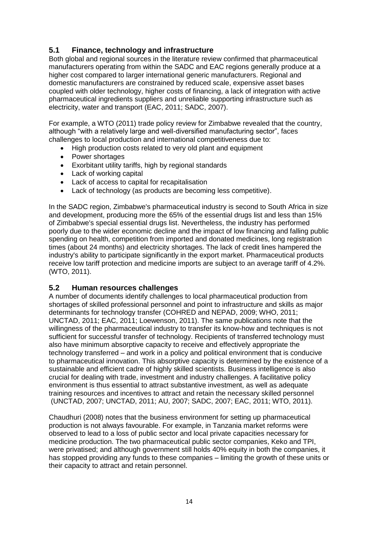#### <span id="page-14-0"></span>**5.1 Finance, technology and infrastructure**

Both global and regional sources in the literature review confirmed that pharmaceutical manufacturers operating from within the SADC and EAC regions generally produce at a higher cost compared to larger international generic manufacturers. Regional and domestic manufacturers are constrained by reduced scale, expensive asset bases coupled with older technology, higher costs of financing, a lack of integration with active pharmaceutical ingredients suppliers and unreliable supporting infrastructure such as electricity, water and transport (EAC, 2011; SADC, 2007).

For example, a WTO (2011) trade policy review for Zimbabwe revealed that the country, although "with a relatively large and well-diversified manufacturing sector", faces challenges to local production and international competitiveness due to:

- High production costs related to very old plant and equipment
- Power shortages
- Exorbitant utility tariffs, high by regional standards
- Lack of working capital
- Lack of access to capital for recapitalisation
- Lack of technology (as products are becoming less competitive).

In the SADC region, Zimbabwe's pharmaceutical industry is second to South Africa in size and development, producing more the 65% of the essential drugs list and less than 15% of Zimbabwe's special essential drugs list. Nevertheless, the industry has performed poorly due to the wider economic decline and the impact of low financing and falling public spending on health, competition from imported and donated medicines, long registration times (about 24 months) and electricity shortages. The lack of credit lines hampered the industry's ability to participate significantly in the export market. Pharmaceutical products receive low tariff protection and medicine imports are subject to an average tariff of 4.2%. (WTO, 2011).

#### <span id="page-14-1"></span>**5.2 Human resources challenges**

A number of documents identify challenges to local pharmaceutical production from shortages of skilled professional personnel and point to infrastructure and skills as major determinants for technology transfer (COHRED and NEPAD, 2009; WHO, 2011; UNCTAD, 2011; EAC, 2011; Loewenson, 2011). The same publications note that the willingness of the pharmaceutical industry to transfer its know-how and techniques is not sufficient for successful transfer of technology. Recipients of transferred technology must also have minimum absorptive capacity to receive and effectively appropriate the technology transferred – and work in a policy and political environment that is conducive to pharmaceutical innovation. This absorptive capacity is determined by the existence of a sustainable and efficient cadre of highly skilled scientists. Business intelligence is also crucial for dealing with trade, investment and industry challenges. A facilitative policy environment is thus essential to attract substantive investment, as well as adequate training resources and incentives to attract and retain the necessary skilled personnel (UNCTAD, 2007; UNCTAD, 2011; AU, 2007; SADC, 2007; EAC, 2011; WTO, 2011).

Chaudhuri (2008) notes that the business environment for setting up pharmaceutical production is not always favourable. For example, in Tanzania market reforms were observed to lead to a loss of public sector and local private capacities necessary for medicine production. The two pharmaceutical public sector companies, Keko and TPI, were privatised; and although government still holds 40% equity in both the companies, it has stopped providing any funds to these companies – limiting the growth of these units or their capacity to attract and retain personnel.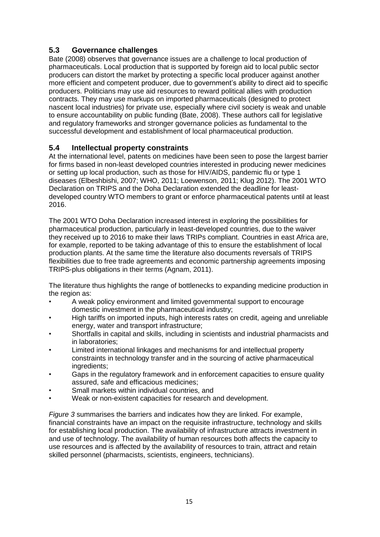#### <span id="page-15-0"></span>**5.3 Governance challenges**

Bate (2008) observes that governance issues are a challenge to local production of pharmaceuticals. Local production that is supported by foreign aid to local public sector producers can distort the market by protecting a specific local producer against another more efficient and competent producer, due to government's ability to direct aid to specific producers. Politicians may use aid resources to reward political allies with production contracts. They may use markups on imported pharmaceuticals (designed to protect nascent local industries) for private use, especially where civil society is weak and unable to ensure accountability on public funding (Bate, 2008). These authors call for legislative and regulatory frameworks and stronger governance policies as fundamental to the successful development and establishment of local pharmaceutical production.

#### <span id="page-15-1"></span>**5.4 Intellectual property constraints**

At the international level, patents on medicines have been seen to pose the largest barrier for firms based in non-least developed countries interested in producing newer medicines or setting up local production, such as those for HIV/AIDS, pandemic flu or type 1 diseases (Elbeshbishi, 2007; WHO, 2011; Loewenson, 2011; Klug 2012). The 2001 WTO Declaration on TRIPS and the Doha Declaration extended the deadline for leastdeveloped country WTO members to grant or enforce pharmaceutical patents until at least 2016.

The 2001 WTO Doha Declaration increased interest in exploring the possibilities for pharmaceutical production, particularly in least-developed countries, due to the waiver they received up to 2016 to make their laws TRIPs compliant. Countries in east Africa are, for example, reported to be taking advantage of this to ensure the establishment of local production plants. At the same time the literature also documents reversals of TRIPS flexibilities due to free trade agreements and economic partnership agreements imposing TRIPS-plus obligations in their terms (Agnam, 2011).

The literature thus highlights the range of bottlenecks to expanding medicine production in the region as:

- A weak policy environment and limited governmental support to encourage domestic investment in the pharmaceutical industry;
- High tariffs on imported inputs, high interests rates on credit, ageing and unreliable energy, water and transport infrastructure;
- Shortfalls in capital and skills, including in scientists and industrial pharmacists and in laboratories;
- Limited international linkages and mechanisms for and intellectual property constraints in technology transfer and in the sourcing of active pharmaceutical ingredients;
- Gaps in the regulatory framework and in enforcement capacities to ensure quality assured, safe and efficacious medicines;
- Small markets within individual countries, and
- Weak or non-existent capacities for research and development.

*Figure 3* summarises the barriers and indicates how they are linked. For example, financial constraints have an impact on the requisite infrastructure, technology and skills for establishing local production. The availability of infrastructure attracts investment in and use of technology. The availability of human resources both affects the capacity to use resources and is affected by the availability of resources to train, attract and retain skilled personnel (pharmacists, scientists, engineers, technicians).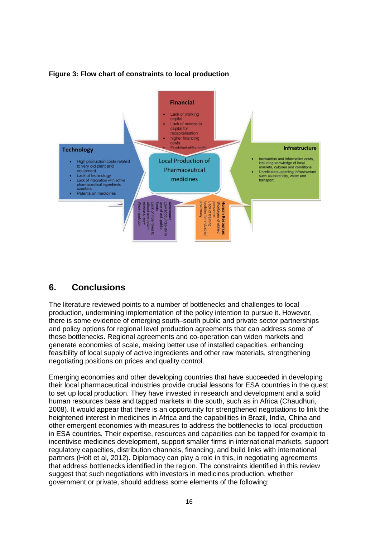

#### **Figure 3: Flow chart of constraints to local production**

### <span id="page-16-0"></span>**6. Conclusions**

The literature reviewed points to a number of bottlenecks and challenges to local production, undermining implementation of the policy intention to pursue it. However, there is some evidence of emerging south–south public and private sector partnerships and policy options for regional level production agreements that can address some of these bottlenecks. Regional agreements and co-operation can widen markets and generate economies of scale, making better use of installed capacities, enhancing feasibility of local supply of active ingredients and other raw materials, strengthening negotiating positions on prices and quality control.

Emerging economies and other developing countries that have succeeded in developing their local pharmaceutical industries provide crucial lessons for ESA countries in the quest to set up local production. They have invested in research and development and a solid human resources base and tapped markets in the south, such as in Africa (Chaudhuri, 2008). It would appear that there is an opportunity for strengthened negotiations to link the heightened interest in medicines in Africa and the capabilities in Brazil, India, China and other emergent economies with measures to address the bottlenecks to local production in ESA countries. Their expertise, resources and capacities can be tapped for example to incentivise medicines development, support smaller firms in international markets, support regulatory capacities, distribution channels, financing, and build links with international partners (Holt et al, 2012). Diplomacy can play a role in this, in negotiating agreements that address bottlenecks identified in the region. The constraints identified in this review suggest that such negotiations with investors in medicines production, whether government or private, should address some elements of the following: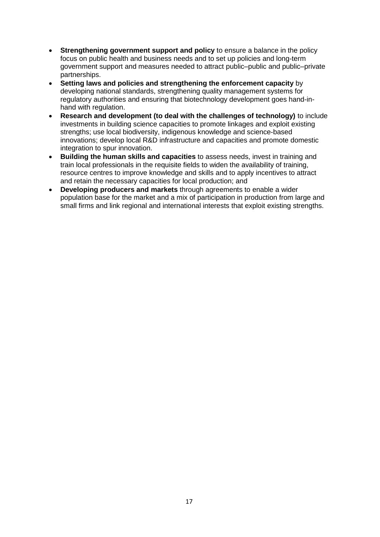- **Strengthening government support and policy** to ensure a balance in the policy focus on public health and business needs and to set up policies and long-term government support and measures needed to attract public–public and public–private partnerships.
- **Setting laws and policies and strengthening the enforcement capacity** by developing national standards, strengthening quality management systems for regulatory authorities and ensuring that biotechnology development goes hand-inhand with regulation.
- **Research and development (to deal with the challenges of technology)** to include investments in building science capacities to promote linkages and exploit existing strengths; use local biodiversity, indigenous knowledge and science-based innovations; develop local R&D infrastructure and capacities and promote domestic integration to spur innovation.
- **Building the human skills and capacities** to assess needs, invest in training and train local professionals in the requisite fields to widen the availability of training, resource centres to improve knowledge and skills and to apply incentives to attract and retain the necessary capacities for local production; and
- **Developing producers and markets** through agreements to enable a wider population base for the market and a mix of participation in production from large and small firms and link regional and international interests that exploit existing strengths.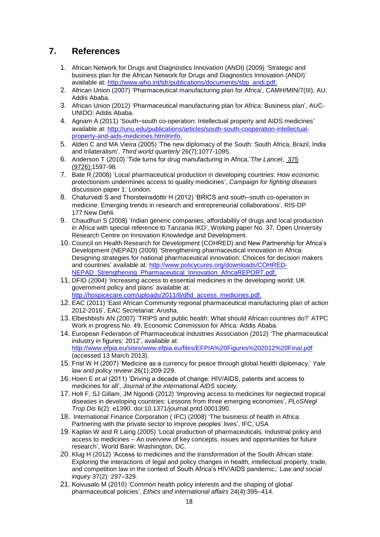### <span id="page-18-0"></span>**7. References**

- 1. African Network for Drugs and Diagnostics Innovation (ANDI) (2009) 'Strategic and business plan for the African Network for Drugs and Diagnostics Innovation (ANDI)' available at: [http://www.who.int/tdr/publications/documents/sbp\\_andi.pdf.](http://www.who.int/tdr/publications/documents/sbp_andi.pdf)
- 2. African Union (2007) 'Pharmaceutical manufacturing plan for Africa', CAMH/MIN/7(III), AU: Addis Ababa.
- 3. African Union (2012) 'Pharmaceutical manufacturing plan for Africa: Business plan', AUC-UNIDO: Addis Ababa.
- 4. Agnam A (2011) 'South−south co-operation: Intellectual property and AIDS medicines' available at: [http://unu.edu/publications/articles/south-south-cooperation-intellectual](http://unu.edu/publications/articles/south-south-cooperation-intellectual-property-and-aids-medicines.html#info)[property-and-aids-medicines.html#info.](http://unu.edu/publications/articles/south-south-cooperation-intellectual-property-and-aids-medicines.html#info)
- 5. Alden C and MA Vieira (2005) 'The new diplomacy of the South: South Africa, Brazil, India and trilateralism', *Third world quarterly* 26(7):1077-1095.
- 6. Anderson T (2010) 'Tide turns for drug manufacturing in Africa,'*The Lancet*, [375](http://www.thelancet.com/journals/lancet/issue/vol375no9726/PIIS0140-6736(10)X6125-6) [\(9726\)](http://www.thelancet.com/journals/lancet/issue/vol375no9726/PIIS0140-6736(10)X6125-6):1597-98.
- 7. Bate R (2008) 'Local pharmaceutical production in developing countries: How economic protectionism undermines access to quality medicines', *Campaign for fighting diseases* discussion paper 1: London.
- 8. Chaturvedi S and Thorsteinsdóttir H (2012) 'BRICS and south−south co-operation in medicine: Emerging trends in research and entrepreneurial collaborations', RIS-DP 177:New Dehli.
- 9. Chaudhuri S (2008) 'Indian generic companies, affordability of drugs and local production in Africa with special reference to Tanzania IKD', Working paper No. 37, Open University Research Centre on Innovation Knowledge and Development.
- 10. Council on Health Research for Development (COHRED) and New Partnership for Africa's Development (NEPAD) (2009) 'Strengthening pharmaceutical innovation in Africa: Designing strategies for national pharmaceutical innovation: Choices for decision makers and countries' available at: [http://www.policycures.org/downloads/COHRED-](http://www.policycures.org/downloads/COHRED-NEPAD_Strengthening_Pharmaceutical_Innovation_AfricaREPORT.pdf)[NEPAD\\_Strengthening\\_Pharmaceutical\\_Innovation\\_AfricaREPORT.pdf.](http://www.policycures.org/downloads/COHRED-NEPAD_Strengthening_Pharmaceutical_Innovation_AfricaREPORT.pdf)
- 11. DFID (2004) 'Increasing access to essential medicines in the developing world: UK government policy and plans' available at: [http://hospicecare.com/uploads/2011/8/dfid\\_access\\_medicines.pdf.](http://hospicecare.com/uploads/2011/8/dfid_access_medicines.pdf)
- 12. EAC (2011) 'East African Community regional pharmaceutical manufacturing plan of action 2012-2016', EAC Secretariat: Arusha.
- 13. Elbeshbishi AN (2007) 'TRIPS and public health: What should African countries do?' ATPC Work in progress No. 49, Economic Commission for Africa: Addis Ababa.
- 14. European Federation of Pharmaceutical Industries Association (2012) 'The pharmaceutical industry in figures: 2012', available at: <http://www.efpia.eu/sites/www.efpia.eu/files/EFPIA%20Figures%202012%20Final.pdf> (accessed 13 March 2013).
- 15. Frist W H (2007) 'Medicine as a currency for peace through global health diplomacy,' *Yale law and policy review* 26(1):209-229.
- 16. Hoen E *et al* (2011) 'Driving a decade of change: HIV/AIDS, patents and access to medicines for all', *Journal of the international AIDS society.*
- 17. Holt F, SJ Gillam, JM Ngondi (2012) 'Improving access to medicines for neglected tropical diseases in developing countries: Lessons from three emerging economies', *PLoSNegl Trop Dis* 6(2): e1390. doi:10.1371/journal.pntd.0001390.
- 18. International Finance Corporation ( IFC) (2008) 'The business of health in Africa: Partnering with the private sector to improve peoples' lives', IFC, USA
- 19. Kaplan W and R Laing (2005) 'Local production of pharmaceuticals: Industrial policy and access to medicines – An overview of key concepts, issues and opportunities for future research', World Bank: Washington, DC.
- 20. Klug H (2012) 'Access to medicines and the transformation of the South African state: Exploring the interactions of legal and policy changes in health, intellectual property, trade, and competition law in the context of South Africa's HIV/AIDS pandemic,' *Law and social inquiry* 37(2): 297–329.
- 21. Koivusalo M (2010) 'Common health policy interests and the shaping of global pharmaceutical policies', *Ethics and international affairs* 24(4):395–414.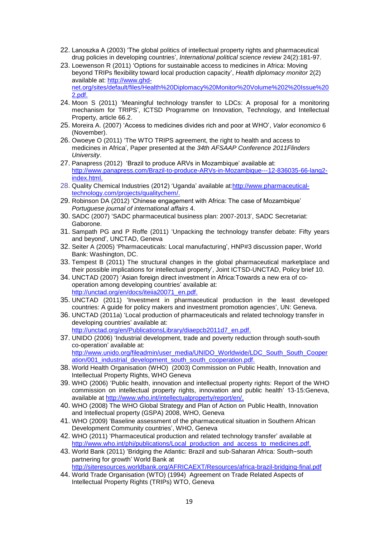- 22. Lanoszka A (2003) 'The global politics of intellectual property rights and pharmaceutical drug policies in developing countries', *International political science review* 24(2):181-97.
- 23. Loewenson R (2011) 'Options for sustainable access to medicines in Africa: Moving beyond TRIPs flexibility toward local production capacity', *Health diplomacy monitor* 2(2) available at: [http://www.ghd](http://www.ghd-net.org/sites/default/files/Health%20Diplomacy%20Monitor%20Volume%202%20Issue%202.pdf)[net.org/sites/default/files/Health%20Diplomacy%20Monitor%20Volume%202%20Issue%20](http://www.ghd-net.org/sites/default/files/Health%20Diplomacy%20Monitor%20Volume%202%20Issue%202.pdf) [2.pdf.](http://www.ghd-net.org/sites/default/files/Health%20Diplomacy%20Monitor%20Volume%202%20Issue%202.pdf)
- 24. Moon S (2011) 'Meaningful technology transfer to LDCs: A proposal for a monitoring mechanism for TRIPS', ICTSD Programme on Innovation, Technology, and Intellectual Property, article 66.2.
- 25. Moreira A. (2007) 'Access to medicines divides rich and poor at WHO', *Valor economico* 6 (November).
- 26. Owoeye O (2011) 'The WTO TRIPS agreement, the right to health and access to medicines in Africa', Paper presented at the *34th AFSAAP Conference 2011Flinders University*.
- 27. Panapress (2012) 'Brazil to produce ARVs in Mozambique' available at: [http://www.panapress.com/Brazil-to-produce-ARVs-in-Mozambique---12-836035-66-lang2](http://www.panapress.com/Brazil-to-produce-ARVs-in-Mozambique---12-836035-66-lang2-index.html) [index.html.](http://www.panapress.com/Brazil-to-produce-ARVs-in-Mozambique---12-836035-66-lang2-index.html)
- 28. Quality Chemical Industries (2012) 'Uganda' available at[:http://www.pharmaceutical](http://www.pharmaceutical-technology.com/projects/qualitychem/)[technology.com/projects/qualitychem/.](http://www.pharmaceutical-technology.com/projects/qualitychem/)
- 29. Robinson DA (2012) 'Chinese engagement with Africa: The case of Mozambique' *Portuguese journal of international affairs* 4.
- 30. SADC (2007) 'SADC pharmaceutical business plan: 2007-2013', SADC Secretariat: Gaborone.
- 31. Sampath PG and P Roffe (2011) 'Unpacking the technology transfer debate: Fifty years and beyond', UNCTAD, Geneva
- 32. Seiter A (2005) 'Pharmaceuticals: Local manufacturing', HNP#3 discussion paper, World Bank: Washington, DC.
- 33. Tempest B (2011) The structural changes in the global pharmaceutical marketplace and their possible implications for intellectual property', Joint ICTSD-UNCTAD, Policy brief 10.
- 34. UNCTAD (2007) 'Asian foreign direct investment in Africa:Towards a new era of cooperation among developing countries' available at: [http://unctad.org/en/docs/iteiia20071\\_en.pdf.](http://unctad.org/en/docs/iteiia20071_en.pdf)
- 35. UNCTAD (2011) 'Investment in pharmaceutical production in the least developed countries: A guide for policy makers and investment promotion agencies', UN: Geneva.
- 36. UNCTAD (2011a) 'Local production of pharmaceuticals and related technology transfer in developing countries' available at: [http://unctad.org/en/PublicationsLibrary/diaepcb2011d7\\_en.pdf.](http://unctad.org/en/PublicationsLibrary/diaepcb2011d7_en.pdf)
- 37. UNIDO (2006) 'Industrial development, trade and poverty reduction through south-south co-operation' available at: [http://www.unido.org/fileadmin/user\\_media/UNIDO\\_Worldwide/LDC\\_South\\_South\\_Cooper](http://www.unido.org/fileadmin/user_media/UNIDO_Worldwide/LDC_South_South_Cooperation/001_industrial_development_south_south_cooperation.pdf) [ation/001\\_industrial\\_development\\_south\\_south\\_cooperation.pdf.](http://www.unido.org/fileadmin/user_media/UNIDO_Worldwide/LDC_South_South_Cooperation/001_industrial_development_south_south_cooperation.pdf)
- 38. World Health Organisation (WHO) (2003) Commission on Public Health, Innovation and Intellectual Property Rights, WHO Geneva
- 39. WHO (2006) 'Public health, innovation and intellectual property rights: Report of the WHO commission on intellectual property rights, innovation and public health' 13-15:Geneva, available at [http://www.who.int/intellectualproperty/report/en/.](http://www.who.int/intellectualproperty/report/en/)
- 40. WHO (2008) The WHO Global Strategy and Plan of Action on Public Health, Innovation and Intellectual property (GSPA) 2008, WHO, Geneva
- 41. WHO (2009) 'Baseline assessment of the pharmaceutical situation in Southern African Development Community countries', WHO, Geneva
- 42. WHO (2011) 'Pharmaceutical production and related technology transfer' available at [http://www.who.int/phi/publications/Local\\_production\\_and\\_access\\_to\\_medicines.pdf.](http://www.who.int/phi/publications/Local_production_and_access_to_medicines.pdf)
- 43. World Bank (2011) 'Bridging the Atlantic: Brazil and sub-Saharan Africa: South−south partnering for growth' World Bank at <http://siteresources.worldbank.org/AFRICAEXT/Resources/africa-brazil-bridging-final.pdf>
- 44. World Trade Organisation (WTO) (1994) Agreement on Trade Related Aspects of Intellectual Property Rights (TRIPs) WTO, Geneva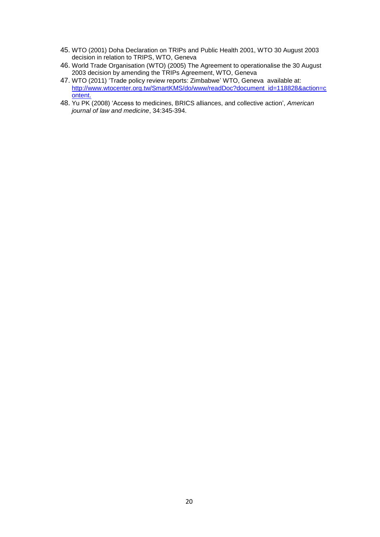- 45. WTO (2001) Doha Declaration on TRIPs and Public Health 2001, WTO 30 August 2003 decision in relation to TRIPS, WTO, Geneva
- 46. World Trade Organisation (WTO) (2005) The Agreement to operationalise the 30 August 2003 decision by amending the TRIPs Agreement, WTO, Geneva
- 47. WTO (2011) 'Trade policy review reports: Zimbabwe' WTO, Geneva available at: [http://www.wtocenter.org.tw/SmartKMS/do/www/readDoc?document\\_id=118828&action=c](http://www.wtocenter.org.tw/SmartKMS/do/www/readDoc?document_id=118828&action=content) [ontent.](http://www.wtocenter.org.tw/SmartKMS/do/www/readDoc?document_id=118828&action=content)
- 48. Yu PK (2008) 'Access to medicines, BRICS alliances, and collective action', *American journal of law and medicine*, 34:345-394.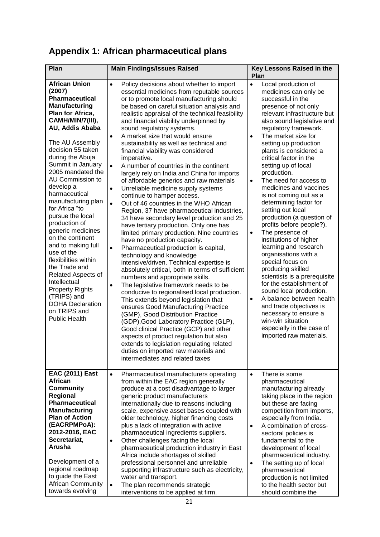## <span id="page-21-0"></span>**Appendix 1: African pharmaceutical plans**

| Plan                                                                                                                                                                                                                                                                                                                                                                                                                                                                                                                                                                                                                                                    | <b>Main Findings/Issues Raised</b>                                                                                                                                                                                                                                                                                                                                                                                                                                                                                                                                                                                                                                                                                                                                                                                                                                                                                                                                                                                                                                                                                                                                                                                                                                                                                                                                                                                                                                                                                                                                                                                                                                                        | Key Lessons Raised in the<br>Plan                                                                                                                                                                                                                                                                                                                                                                                                                                                                                                                                                                                                                                                                                                                                                                                                                                                                                                                                           |  |
|---------------------------------------------------------------------------------------------------------------------------------------------------------------------------------------------------------------------------------------------------------------------------------------------------------------------------------------------------------------------------------------------------------------------------------------------------------------------------------------------------------------------------------------------------------------------------------------------------------------------------------------------------------|-------------------------------------------------------------------------------------------------------------------------------------------------------------------------------------------------------------------------------------------------------------------------------------------------------------------------------------------------------------------------------------------------------------------------------------------------------------------------------------------------------------------------------------------------------------------------------------------------------------------------------------------------------------------------------------------------------------------------------------------------------------------------------------------------------------------------------------------------------------------------------------------------------------------------------------------------------------------------------------------------------------------------------------------------------------------------------------------------------------------------------------------------------------------------------------------------------------------------------------------------------------------------------------------------------------------------------------------------------------------------------------------------------------------------------------------------------------------------------------------------------------------------------------------------------------------------------------------------------------------------------------------------------------------------------------------|-----------------------------------------------------------------------------------------------------------------------------------------------------------------------------------------------------------------------------------------------------------------------------------------------------------------------------------------------------------------------------------------------------------------------------------------------------------------------------------------------------------------------------------------------------------------------------------------------------------------------------------------------------------------------------------------------------------------------------------------------------------------------------------------------------------------------------------------------------------------------------------------------------------------------------------------------------------------------------|--|
| <b>African Union</b><br>(2007)<br><b>Pharmaceutical</b><br><b>Manufacturing</b><br>Plan for Africa,<br>CAMH/MIN/7(III),<br>AU, Addis Ababa<br>The AU Assembly<br>decision 55 taken<br>during the Abuja<br>Summit in January<br>2005 mandated the<br>AU Commission to<br>develop a<br>harmaceutical<br>manufacturing plan<br>for Africa "to<br>pursue the local<br>production of<br>generic medicines<br>on the continent<br>and to making full<br>use of the<br>flexibilities within<br>the Trade and<br>Related Aspects of<br>Intellectual<br><b>Property Rights</b><br>(TRIPS) and<br><b>DOHA Declaration</b><br>on TRIPS and<br><b>Public Health</b> | $\bullet$<br>Policy decisions about whether to import<br>essential medicines from reputable sources<br>or to promote local manufacturing should<br>be based on careful situation analysis and<br>realistic appraisal of the technical feasibility<br>and financial viability underpinned by<br>sound regulatory systems.<br>A market size that would ensure<br>$\bullet$<br>sustainability as well as technical and<br>financial viability was considered<br>imperative.<br>$\bullet$<br>A number of countries in the continent<br>largely rely on India and China for imports<br>of affordable generics and raw materials<br>Unreliable medicine supply systems<br>$\bullet$<br>continue to hamper access.<br>$\bullet$<br>Out of 46 countries in the WHO African<br>Region, 37 have pharmaceutical industries,<br>34 have secondary level production and 25<br>have tertiary production. Only one has<br>limited primary production. Nine countries<br>have no production capacity.<br>Pharmaceutical production is capital,<br>$\bullet$<br>technology and knowledge<br>intensive/driven. Technical expertise is<br>absolutely critical, both in terms of sufficient<br>numbers and appropriate skills.<br>The legislative framework needs to be<br>$\bullet$<br>conducive to regionalised local production.<br>This extends beyond legislation that<br>ensures Good Manufacturing Practice<br>(GMP), Good Distribution Practice<br>(GDP), Good Laboratory Practice (GLP),<br>Good clinical Practice (GCP) and other<br>aspects of product regulation but also<br>extends to legislation regulating related<br>duties on imported raw materials and<br>intermediates and related taxes | $\bullet$<br>Local production of<br>medicines can only be<br>successful in the<br>presence of not only<br>relevant infrastructure but<br>also sound legislative and<br>regulatory framework.<br>The market size for<br>$\bullet$<br>setting up production<br>plants is considered a<br>critical factor in the<br>setting up of local<br>production.<br>The need for access to<br>$\bullet$<br>medicines and vaccines<br>is not coming out as a<br>determining factor for<br>setting out local<br>production (a question of<br>profits before people?).<br>The presence of<br>$\bullet$<br>institutions of higher<br>learning and research<br>organisations with a<br>special focus on<br>producing skilled<br>scientists is a prerequisite<br>for the establishment of<br>sound local production.<br>A balance between health<br>$\bullet$<br>and trade objectives is<br>necessary to ensure a<br>win-win situation<br>especially in the case of<br>imported raw materials. |  |
| <b>EAC (2011) East</b><br><b>African</b><br><b>Community</b><br>Regional<br><b>Pharmaceutical</b><br><b>Manufacturing</b><br><b>Plan of Action</b><br>(EACRPMPoA):<br>2012-2016, EAC<br>Secretariat,<br>Arusha<br>Development of a<br>regional roadmap<br>to guide the East<br><b>African Community</b>                                                                                                                                                                                                                                                                                                                                                 | Pharmaceutical manufacturers operating<br>$\bullet$<br>from within the EAC region generally<br>produce at a cost disadvantage to larger<br>generic product manufacturers<br>internationally due to reasons including<br>scale, expensive asset bases coupled with<br>older technology, higher financing costs<br>plus a lack of integration with active<br>pharmaceutical ingredients suppliers.<br>Other challenges facing the local<br>$\bullet$<br>pharmaceutical production industry in East<br>Africa include shortages of skilled<br>professional personnel and unreliable<br>supporting infrastructure such as electricity,<br>water and transport.<br>The plan recommends strategic<br>$\bullet$                                                                                                                                                                                                                                                                                                                                                                                                                                                                                                                                                                                                                                                                                                                                                                                                                                                                                                                                                                                  | There is some<br>$\bullet$<br>pharmaceutical<br>manufacturing already<br>taking place in the region<br>but these are facing<br>competition from imports,<br>especially from India.<br>A combination of cross-<br>$\bullet$<br>sectoral policies is<br>fundamental to the<br>development of local<br>pharmaceutical industry.<br>The setting up of local<br>$\bullet$<br>pharmaceutical<br>production is not limited<br>to the health sector but                                                                                                                                                                                                                                                                                                                                                                                                                                                                                                                             |  |
| towards evolving                                                                                                                                                                                                                                                                                                                                                                                                                                                                                                                                                                                                                                        | interventions to be applied at firm,                                                                                                                                                                                                                                                                                                                                                                                                                                                                                                                                                                                                                                                                                                                                                                                                                                                                                                                                                                                                                                                                                                                                                                                                                                                                                                                                                                                                                                                                                                                                                                                                                                                      | should combine the                                                                                                                                                                                                                                                                                                                                                                                                                                                                                                                                                                                                                                                                                                                                                                                                                                                                                                                                                          |  |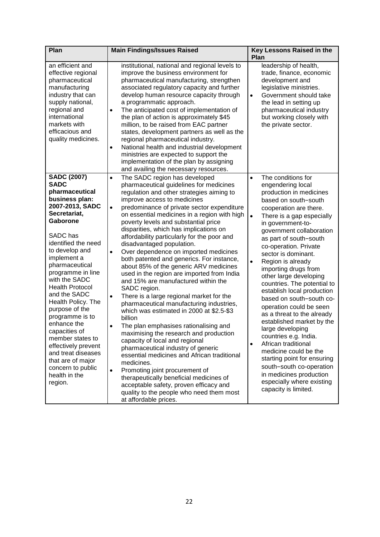| Plan                                                                                                                                                                                                                                                                                                                                                                                                                                                                                                                         | <b>Main Findings/Issues Raised</b>                                                                                                                                                                                                                                                                                                                                                                                                                                                                                                                                                                                                                                                                                                                                                                                                                                                                                                                                                                                                                                                                                                                                                                                                                                            | Key Lessons Raised in the<br>Plan                                                                                                                                                                                                                                                                                                                                                                                                                                                                                                                                                                                                                                                                                                                                                                                              |  |
|------------------------------------------------------------------------------------------------------------------------------------------------------------------------------------------------------------------------------------------------------------------------------------------------------------------------------------------------------------------------------------------------------------------------------------------------------------------------------------------------------------------------------|-------------------------------------------------------------------------------------------------------------------------------------------------------------------------------------------------------------------------------------------------------------------------------------------------------------------------------------------------------------------------------------------------------------------------------------------------------------------------------------------------------------------------------------------------------------------------------------------------------------------------------------------------------------------------------------------------------------------------------------------------------------------------------------------------------------------------------------------------------------------------------------------------------------------------------------------------------------------------------------------------------------------------------------------------------------------------------------------------------------------------------------------------------------------------------------------------------------------------------------------------------------------------------|--------------------------------------------------------------------------------------------------------------------------------------------------------------------------------------------------------------------------------------------------------------------------------------------------------------------------------------------------------------------------------------------------------------------------------------------------------------------------------------------------------------------------------------------------------------------------------------------------------------------------------------------------------------------------------------------------------------------------------------------------------------------------------------------------------------------------------|--|
| an efficient and<br>effective regional<br>pharmaceutical<br>manufacturing<br>industry that can<br>supply national,<br>regional and<br>international<br>markets with<br>efficacious and<br>quality medicines.                                                                                                                                                                                                                                                                                                                 | institutional, national and regional levels to<br>improve the business environment for<br>pharmaceutical manufacturing, strengthen<br>associated regulatory capacity and further<br>develop human resource capacity through<br>a programmatic approach.<br>The anticipated cost of implementation of<br>the plan of action is approximately \$45<br>million, to be raised from EAC partner<br>states, development partners as well as the<br>regional pharmaceutical industry.<br>National health and industrial development<br>$\bullet$<br>ministries are expected to support the<br>implementation of the plan by assigning<br>and availing the necessary resources.                                                                                                                                                                                                                                                                                                                                                                                                                                                                                                                                                                                                       | leadership of health,<br>trade, finance, economic<br>development and<br>legislative ministries.<br>Government should take<br>$\bullet$<br>the lead in setting up<br>pharmaceutical industry<br>but working closely with<br>the private sector.                                                                                                                                                                                                                                                                                                                                                                                                                                                                                                                                                                                 |  |
| <b>SADC (2007)</b><br><b>SADC</b><br>pharmaceutical<br>business plan:<br>2007-2013, SADC<br>Secretariat,<br>Gaborone<br>SADC has<br>identified the need<br>to develop and<br>implement a<br>pharmaceutical<br>programme in line<br>with the SADC<br><b>Health Protocol</b><br>and the SADC<br>Health Policy. The<br>purpose of the<br>programme is to<br>enhance the<br>capacities of<br>member states to<br>effectively prevent<br>and treat diseases<br>that are of major<br>concern to public<br>health in the<br>region. | The SADC region has developed<br>$\bullet$<br>pharmaceutical guidelines for medicines<br>regulation and other strategies aiming to<br>improve access to medicines<br>predominance of private sector expenditure<br>$\bullet$<br>on essential medicines in a region with high<br>poverty levels and substantial price<br>disparities, which has implications on<br>affordability particularly for the poor and<br>disadvantaged population.<br>Over dependence on imported medicines<br>$\bullet$<br>both patented and generics. For instance,<br>about 85% of the generic ARV medicines<br>used in the region are imported from India<br>and 15% are manufactured within the<br>SADC region.<br>There is a large regional market for the<br>$\bullet$<br>pharmaceutical manufacturing industries,<br>which was estimated in 2000 at \$2.5-\$3<br>billion<br>The plan emphasises rationalising and<br>$\bullet$<br>maximising the research and production<br>capacity of local and regional<br>pharmaceutical industry of generic<br>essential medicines and African traditional<br>medicines.<br>Promoting joint procurement of<br>$\bullet$<br>therapeutically beneficial medicines of<br>acceptable safety, proven efficacy and<br>quality to the people who need them most | The conditions for<br>$\bullet$<br>engendering local<br>production in medicines<br>based on south-south<br>cooperation are there.<br>$\bullet$<br>There is a gap especially<br>in government-to-<br>government collaboration<br>as part of south-south<br>co-operation. Private<br>sector is dominant.<br>$\bullet$<br>Region is already<br>importing drugs from<br>other large developing<br>countries. The potential to<br>establish local production<br>based on south-south co-<br>operation could be seen<br>as a threat to the already<br>established market by the<br>large developing<br>countries e.g. India.<br>African traditional<br>$\bullet$<br>medicine could be the<br>starting point for ensuring<br>south-south co-operation<br>in medicines production<br>especially where existing<br>capacity is limited. |  |